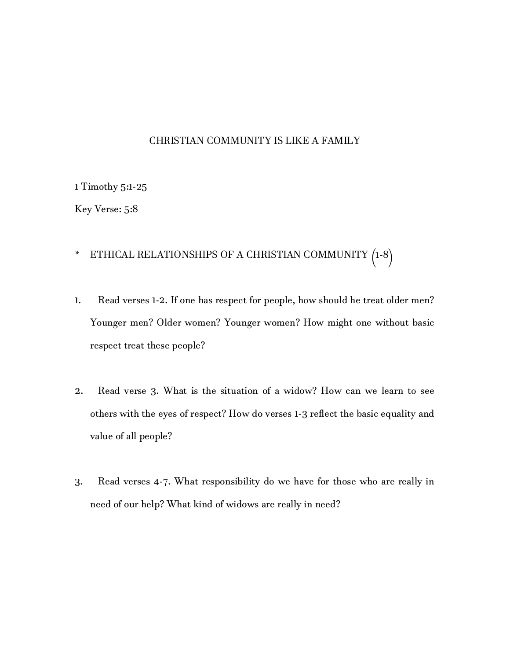## CHRISTIAN COMMUNITY IS LIKE A FAMILY

1 Timothy 5:1-25

Key Verse: 5:8

## \* ETHICAL RELATIONSHIPS OF A CHRISTIAN COMMUNITY (1-8)

- 1. Read verses 1-2. If one has respect for people, how should he treat older men? Younger men? Older women? Younger women? How might one without basic respect treat these people?
- 2. Read verse 3. What is the situation of a widow? How can we learn to see others with the eyes of respect? How do verses 1-3 reflect the basic equality and value of all people?
- 3. Read verses 4-7. What responsibility do we have for those who are really in need of our help? What kind of widows are really in need?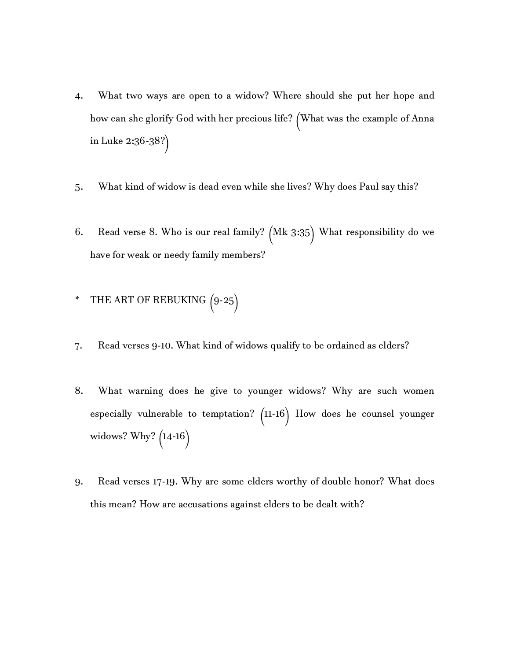- 4. What two ways are open to a widow? Where should she put her hope and how can she glorify God with her precious life? (What was the example of Anna in Luke 2:36-38?)
- 5. What kind of widow is dead even while she lives? Why does Paul say this?
- 6. Read verse 8. Who is our real family? (Mk 3:35) What responsibility do we have for weak or needy family members?

## \* THE ART OF REBUKING (9-25)

- 7. Read verses 9-10. What kind of widows qualify to be ordained as elders?
- 8. What warning does he give to younger widows? Why are such women especially vulnerable to temptation? (11-16) How does he counsel younger widows? Why? (14-16)
- 9. Read verses 17-19. Why are some elders worthy of double honor? What does this mean? How are accusations against elders to be dealt with?